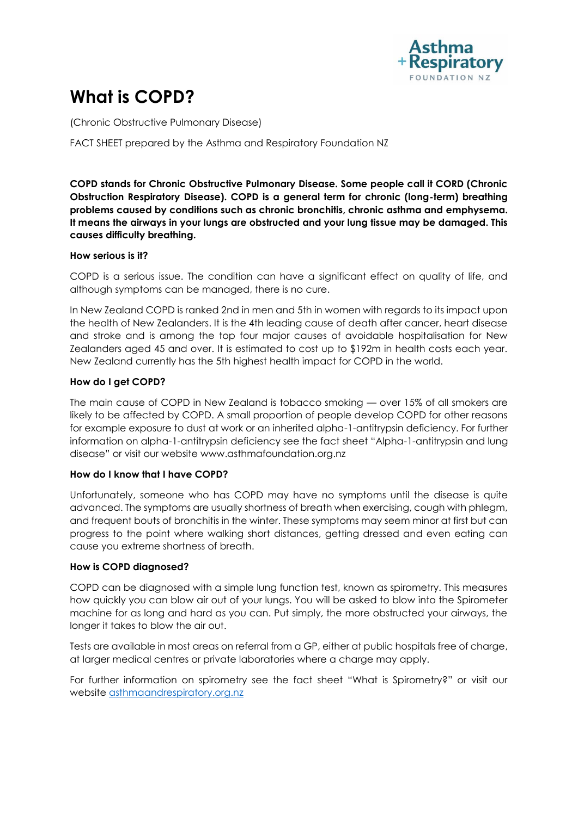

# **What is COPD?**

(Chronic Obstructive Pulmonary Disease)

FACT SHEET prepared by the Asthma and Respiratory Foundation NZ

**COPD stands for Chronic Obstructive Pulmonary Disease. Some people call it CORD (Chronic Obstruction Respiratory Disease). COPD is a general term for chronic (long-term) breathing problems caused by conditions such as chronic bronchitis, chronic asthma and emphysema. It means the airways in your lungs are obstructed and your lung tissue may be damaged. This causes difficulty breathing.** 

# **How serious is it?**

COPD is a serious issue. The condition can have a significant effect on quality of life, and although symptoms can be managed, there is no cure.

In New Zealand COPD is ranked 2nd in men and 5th in women with regards to its impact upon the health of New Zealanders. It is the 4th leading cause of death after cancer, heart disease and stroke and is among the top four major causes of avoidable hospitalisation for New Zealanders aged 45 and over. It is estimated to cost up to \$192m in health costs each year. New Zealand currently has the 5th highest health impact for COPD in the world.

# **How do I get COPD?**

The main cause of COPD in New Zealand is tobacco smoking — over 15% of all smokers are likely to be affected by COPD. A small proportion of people develop COPD for other reasons for example exposure to dust at work or an inherited alpha-1-antitrypsin deficiency. For further information on alpha-1-antitrypsin deficiency see the fact sheet "Alpha-1-antitrypsin and lung disease" or visit our website www.asthmafoundation.org.nz

### **How do I know that I have COPD?**

Unfortunately, someone who has COPD may have no symptoms until the disease is quite advanced. The symptoms are usually shortness of breath when exercising, cough with phlegm, and frequent bouts of bronchitis in the winter. These symptoms may seem minor at first but can progress to the point where walking short distances, getting dressed and even eating can cause you extreme shortness of breath.

#### **How is COPD diagnosed?**

COPD can be diagnosed with a simple lung function test, known as spirometry. This measures how quickly you can blow air out of your lungs. You will be asked to blow into the Spirometer machine for as long and hard as you can. Put simply, the more obstructed your airways, the longer it takes to blow the air out.

Tests are available in most areas on referral from a GP, either at public hospitals free of charge, at larger medical centres or private laboratories where a charge may apply.

For further information on spirometry see the fact sheet "What is Spirometry?" or visit our website [asthmaandrespiratory.org.nz](https://www.asthmafoundation.org.nz/)